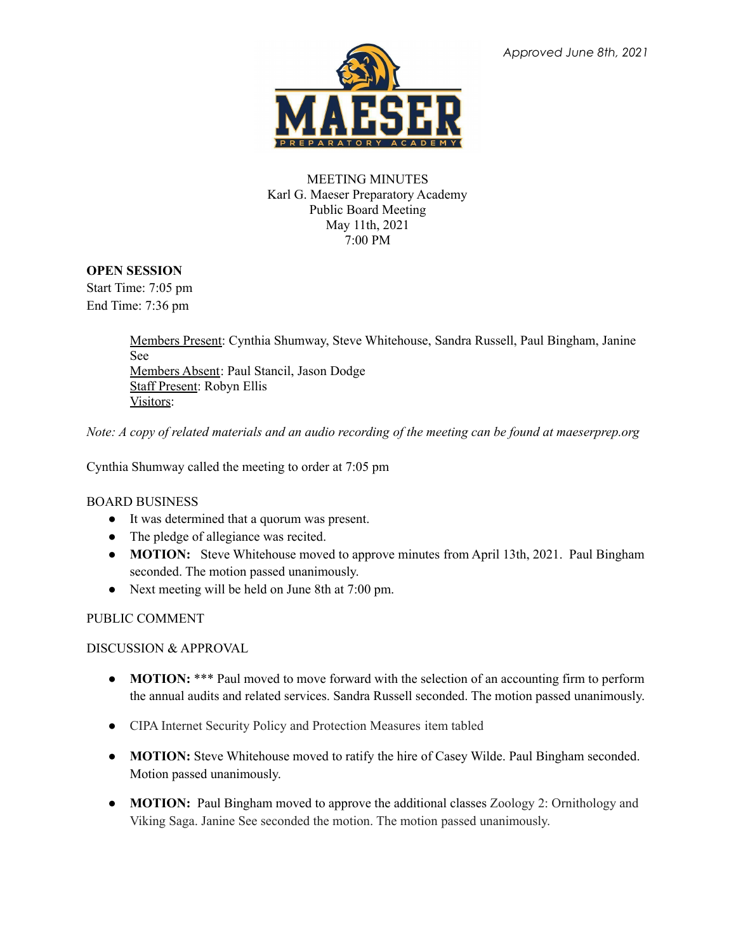

## MEETING MINUTES Karl G. Maeser Preparatory Academy Public Board Meeting May 11th, 2021 7:00 PM

## **OPEN SESSION**

Start Time: 7:05 pm End Time: 7:36 pm

> Members Present: Cynthia Shumway, Steve Whitehouse, Sandra Russell, Paul Bingham, Janine See Members Absent: Paul Stancil, Jason Dodge Staff Present: Robyn Ellis Visitors:

Note: A copy of related materials and an audio recording of the meeting can be found at maeserprep.org

Cynthia Shumway called the meeting to order at 7:05 pm

## BOARD BUSINESS

- It was determined that a quorum was present.
- The pledge of allegiance was recited.
- **MOTION:** Steve Whitehouse moved to approve minutes from April 13th, 2021. Paul Bingham seconded. The motion passed unanimously.
- Next meeting will be held on June 8th at 7:00 pm.

## PUBLIC COMMENT

DISCUSSION & APPROVAL

- **MOTION:** \*\*\* Paul moved to move forward with the selection of an accounting firm to perform the annual audits and related services. Sandra Russell seconded. The motion passed unanimously.
- CIPA Internet Security Policy and Protection Measures item tabled
- **● MOTION:** Steve Whitehouse moved to ratify the hire of Casey Wilde. Paul Bingham seconded. Motion passed unanimously.
- **● MOTION:** Paul Bingham moved to approve the additional classes Zoology 2: Ornithology and Viking Saga. Janine See seconded the motion. The motion passed unanimously.